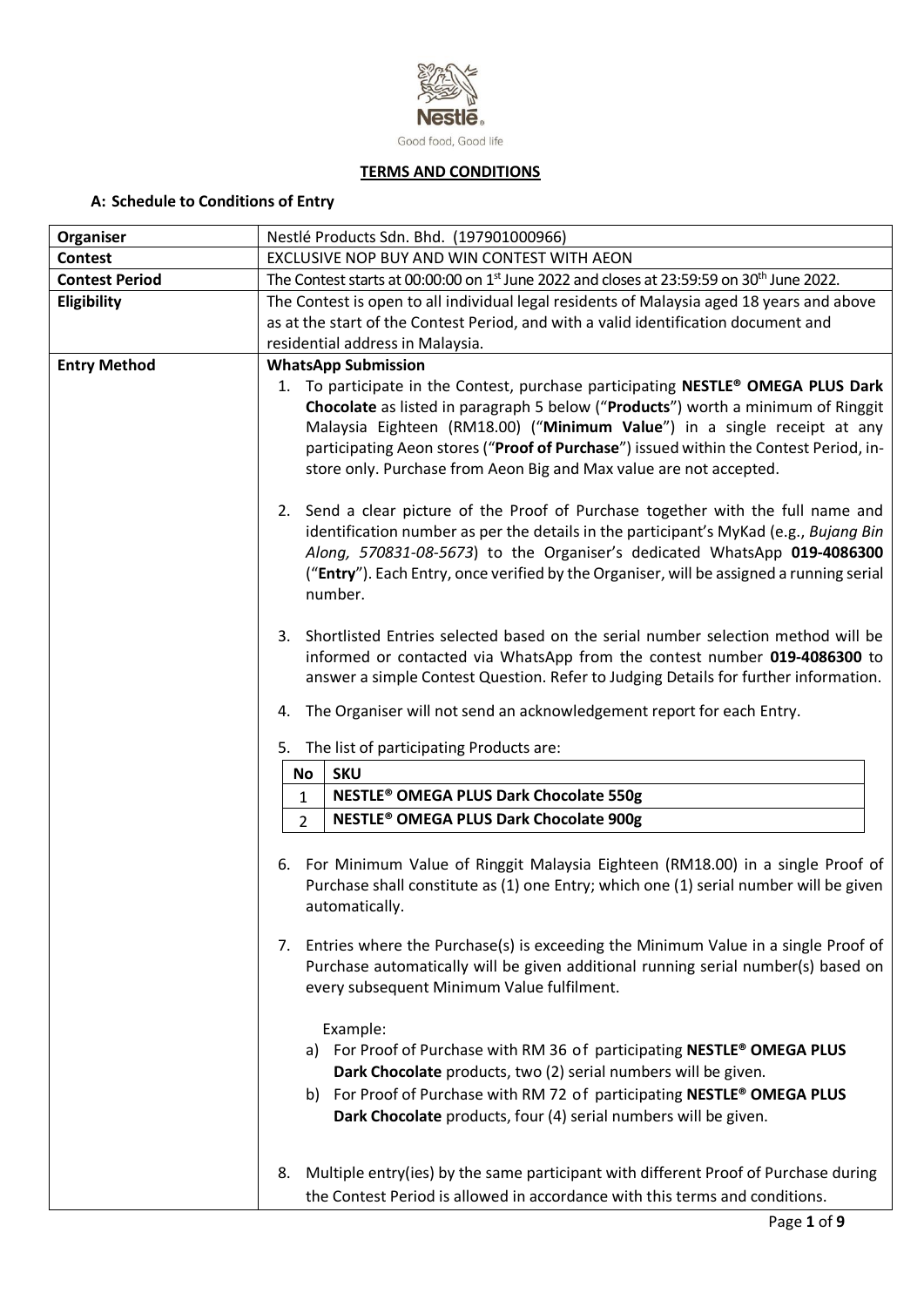

# **TERMS AND CONDITIONS**

# **A: Schedule to Conditions of Entry**

| Organiser             | Nestlé Products Sdn. Bhd. (197901000966)                                                                                                                                                                                                                                                                                                                                                                        |
|-----------------------|-----------------------------------------------------------------------------------------------------------------------------------------------------------------------------------------------------------------------------------------------------------------------------------------------------------------------------------------------------------------------------------------------------------------|
| <b>Contest</b>        | EXCLUSIVE NOP BUY AND WIN CONTEST WITH AEON                                                                                                                                                                                                                                                                                                                                                                     |
| <b>Contest Period</b> | The Contest starts at 00:00:00 on 1 <sup>st</sup> June 2022 and closes at 23:59:59 on 30 <sup>th</sup> June 2022.                                                                                                                                                                                                                                                                                               |
| Eligibility           | The Contest is open to all individual legal residents of Malaysia aged 18 years and above                                                                                                                                                                                                                                                                                                                       |
|                       | as at the start of the Contest Period, and with a valid identification document and                                                                                                                                                                                                                                                                                                                             |
|                       | residential address in Malaysia.                                                                                                                                                                                                                                                                                                                                                                                |
| <b>Entry Method</b>   | <b>WhatsApp Submission</b>                                                                                                                                                                                                                                                                                                                                                                                      |
|                       | 1. To participate in the Contest, purchase participating NESTLE® OMEGA PLUS Dark<br>Chocolate as listed in paragraph 5 below ("Products") worth a minimum of Ringgit<br>Malaysia Eighteen (RM18.00) ("Minimum Value") in a single receipt at any<br>participating Aeon stores ("Proof of Purchase") issued within the Contest Period, in-<br>store only. Purchase from Aeon Big and Max value are not accepted. |
|                       | 2. Send a clear picture of the Proof of Purchase together with the full name and<br>identification number as per the details in the participant's MyKad (e.g., Bujang Bin<br>Along, 570831-08-5673) to the Organiser's dedicated WhatsApp 019-4086300<br>("Entry"). Each Entry, once verified by the Organiser, will be assigned a running serial<br>number.                                                    |
|                       | 3. Shortlisted Entries selected based on the serial number selection method will be<br>informed or contacted via WhatsApp from the contest number 019-4086300 to<br>answer a simple Contest Question. Refer to Judging Details for further information.                                                                                                                                                         |
|                       | The Organiser will not send an acknowledgement report for each Entry.<br>4.                                                                                                                                                                                                                                                                                                                                     |
|                       | 5. The list of participating Products are:                                                                                                                                                                                                                                                                                                                                                                      |
|                       | <b>SKU</b><br>No                                                                                                                                                                                                                                                                                                                                                                                                |
|                       | <b>NESTLE<sup>®</sup> OMEGA PLUS Dark Chocolate 550g</b><br>$\mathbf{1}$                                                                                                                                                                                                                                                                                                                                        |
|                       | <b>NESTLE<sup>®</sup> OMEGA PLUS Dark Chocolate 900g</b><br>$\overline{2}$                                                                                                                                                                                                                                                                                                                                      |
|                       |                                                                                                                                                                                                                                                                                                                                                                                                                 |
|                       | For Minimum Value of Ringgit Malaysia Eighteen (RM18.00) in a single Proof of<br>6.<br>Purchase shall constitute as (1) one Entry; which one (1) serial number will be given<br>automatically.                                                                                                                                                                                                                  |
|                       | 7. Entries where the Purchase(s) is exceeding the Minimum Value in a single Proof of<br>Purchase automatically will be given additional running serial number(s) based on<br>every subsequent Minimum Value fulfilment.                                                                                                                                                                                         |
|                       | Example:<br>a) For Proof of Purchase with RM 36 of participating NESTLE® OMEGA PLUS<br>Dark Chocolate products, two (2) serial numbers will be given.<br>b) For Proof of Purchase with RM 72 of participating NESTLE® OMEGA PLUS<br>Dark Chocolate products, four (4) serial numbers will be given.                                                                                                             |
|                       | Multiple entry(ies) by the same participant with different Proof of Purchase during<br>8.<br>the Contest Period is allowed in accordance with this terms and conditions.                                                                                                                                                                                                                                        |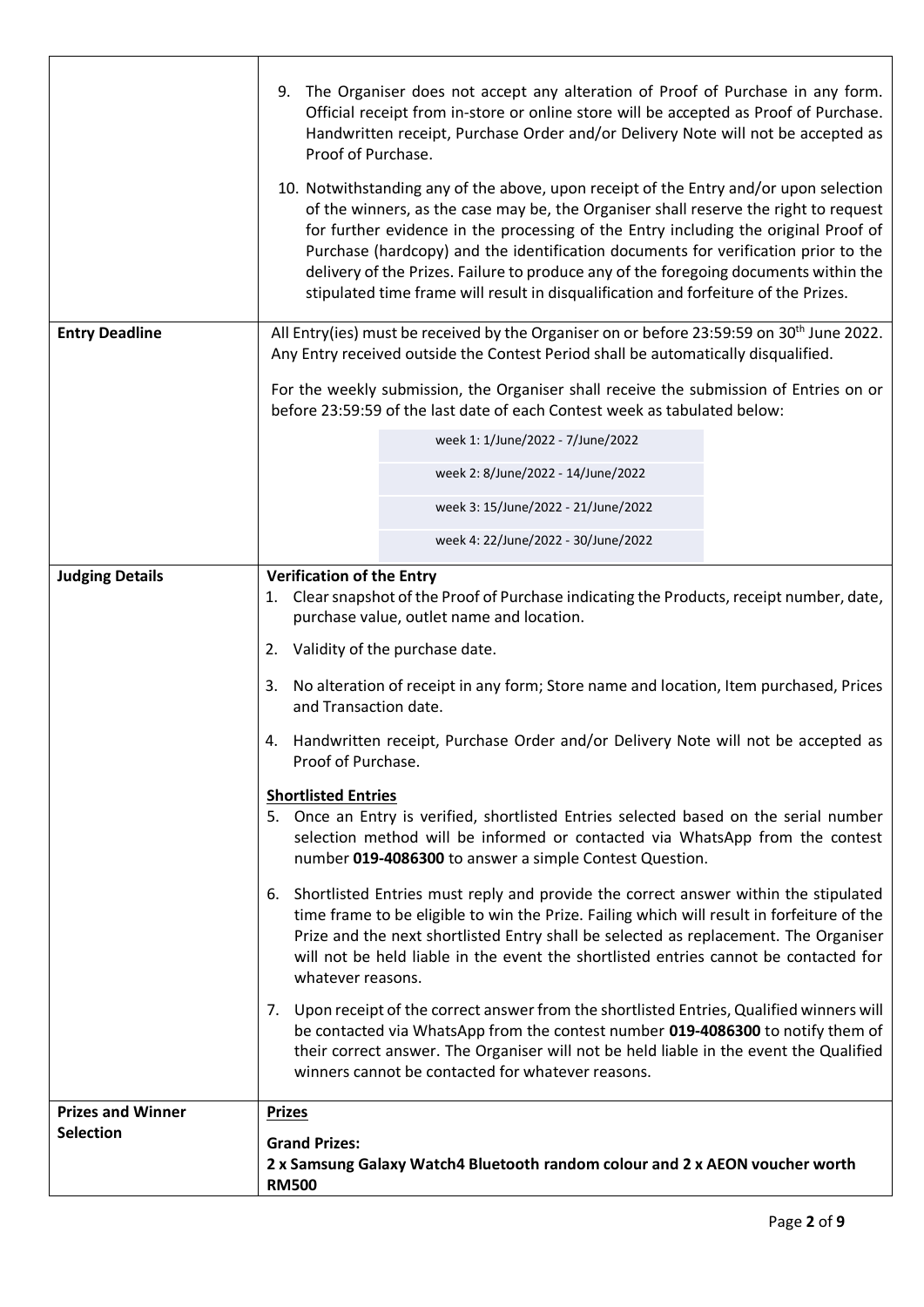|                                              | The Organiser does not accept any alteration of Proof of Purchase in any form.<br>9.<br>Official receipt from in-store or online store will be accepted as Proof of Purchase.<br>Handwritten receipt, Purchase Order and/or Delivery Note will not be accepted as<br>Proof of Purchase.<br>10. Notwithstanding any of the above, upon receipt of the Entry and/or upon selection<br>of the winners, as the case may be, the Organiser shall reserve the right to request<br>for further evidence in the processing of the Entry including the original Proof of<br>Purchase (hardcopy) and the identification documents for verification prior to the<br>delivery of the Prizes. Failure to produce any of the foregoing documents within the<br>stipulated time frame will result in disqualification and forfeiture of the Prizes.                                                                                                                                                                                                                                                                    |
|----------------------------------------------|---------------------------------------------------------------------------------------------------------------------------------------------------------------------------------------------------------------------------------------------------------------------------------------------------------------------------------------------------------------------------------------------------------------------------------------------------------------------------------------------------------------------------------------------------------------------------------------------------------------------------------------------------------------------------------------------------------------------------------------------------------------------------------------------------------------------------------------------------------------------------------------------------------------------------------------------------------------------------------------------------------------------------------------------------------------------------------------------------------|
| <b>Entry Deadline</b>                        | All Entry(ies) must be received by the Organiser on or before 23:59:59 on 30 <sup>th</sup> June 2022.<br>Any Entry received outside the Contest Period shall be automatically disqualified.                                                                                                                                                                                                                                                                                                                                                                                                                                                                                                                                                                                                                                                                                                                                                                                                                                                                                                             |
|                                              | For the weekly submission, the Organiser shall receive the submission of Entries on or<br>before 23:59:59 of the last date of each Contest week as tabulated below:                                                                                                                                                                                                                                                                                                                                                                                                                                                                                                                                                                                                                                                                                                                                                                                                                                                                                                                                     |
|                                              | week 1: 1/June/2022 - 7/June/2022                                                                                                                                                                                                                                                                                                                                                                                                                                                                                                                                                                                                                                                                                                                                                                                                                                                                                                                                                                                                                                                                       |
|                                              | week 2: 8/June/2022 - 14/June/2022                                                                                                                                                                                                                                                                                                                                                                                                                                                                                                                                                                                                                                                                                                                                                                                                                                                                                                                                                                                                                                                                      |
|                                              | week 3: 15/June/2022 - 21/June/2022                                                                                                                                                                                                                                                                                                                                                                                                                                                                                                                                                                                                                                                                                                                                                                                                                                                                                                                                                                                                                                                                     |
|                                              | week 4: 22/June/2022 - 30/June/2022                                                                                                                                                                                                                                                                                                                                                                                                                                                                                                                                                                                                                                                                                                                                                                                                                                                                                                                                                                                                                                                                     |
| <b>Judging Details</b>                       | <b>Verification of the Entry</b><br>Clear snapshot of the Proof of Purchase indicating the Products, receipt number, date,<br>1.<br>purchase value, outlet name and location.<br>Validity of the purchase date.<br>2.<br>No alteration of receipt in any form; Store name and location, Item purchased, Prices<br>3.<br>and Transaction date.<br>Handwritten receipt, Purchase Order and/or Delivery Note will not be accepted as<br>4.<br>Proof of Purchase.<br><b>Shortlisted Entries</b><br>5. Once an Entry is verified, shortlisted Entries selected based on the serial number<br>selection method will be informed or contacted via WhatsApp from the contest<br>number 019-4086300 to answer a simple Contest Question.<br>6. Shortlisted Entries must reply and provide the correct answer within the stipulated<br>time frame to be eligible to win the Prize. Failing which will result in forfeiture of the<br>Prize and the next shortlisted Entry shall be selected as replacement. The Organiser<br>will not be held liable in the event the shortlisted entries cannot be contacted for |
|                                              | whatever reasons.<br>7. Upon receipt of the correct answer from the shortlisted Entries, Qualified winners will<br>be contacted via WhatsApp from the contest number 019-4086300 to notify them of<br>their correct answer. The Organiser will not be held liable in the event the Qualified<br>winners cannot be contacted for whatever reasons.                                                                                                                                                                                                                                                                                                                                                                                                                                                                                                                                                                                                                                                                                                                                                       |
| <b>Prizes and Winner</b><br><b>Selection</b> | <b>Prizes</b>                                                                                                                                                                                                                                                                                                                                                                                                                                                                                                                                                                                                                                                                                                                                                                                                                                                                                                                                                                                                                                                                                           |
|                                              | <b>Grand Prizes:</b><br>2 x Samsung Galaxy Watch4 Bluetooth random colour and 2 x AEON voucher worth<br><b>RM500</b>                                                                                                                                                                                                                                                                                                                                                                                                                                                                                                                                                                                                                                                                                                                                                                                                                                                                                                                                                                                    |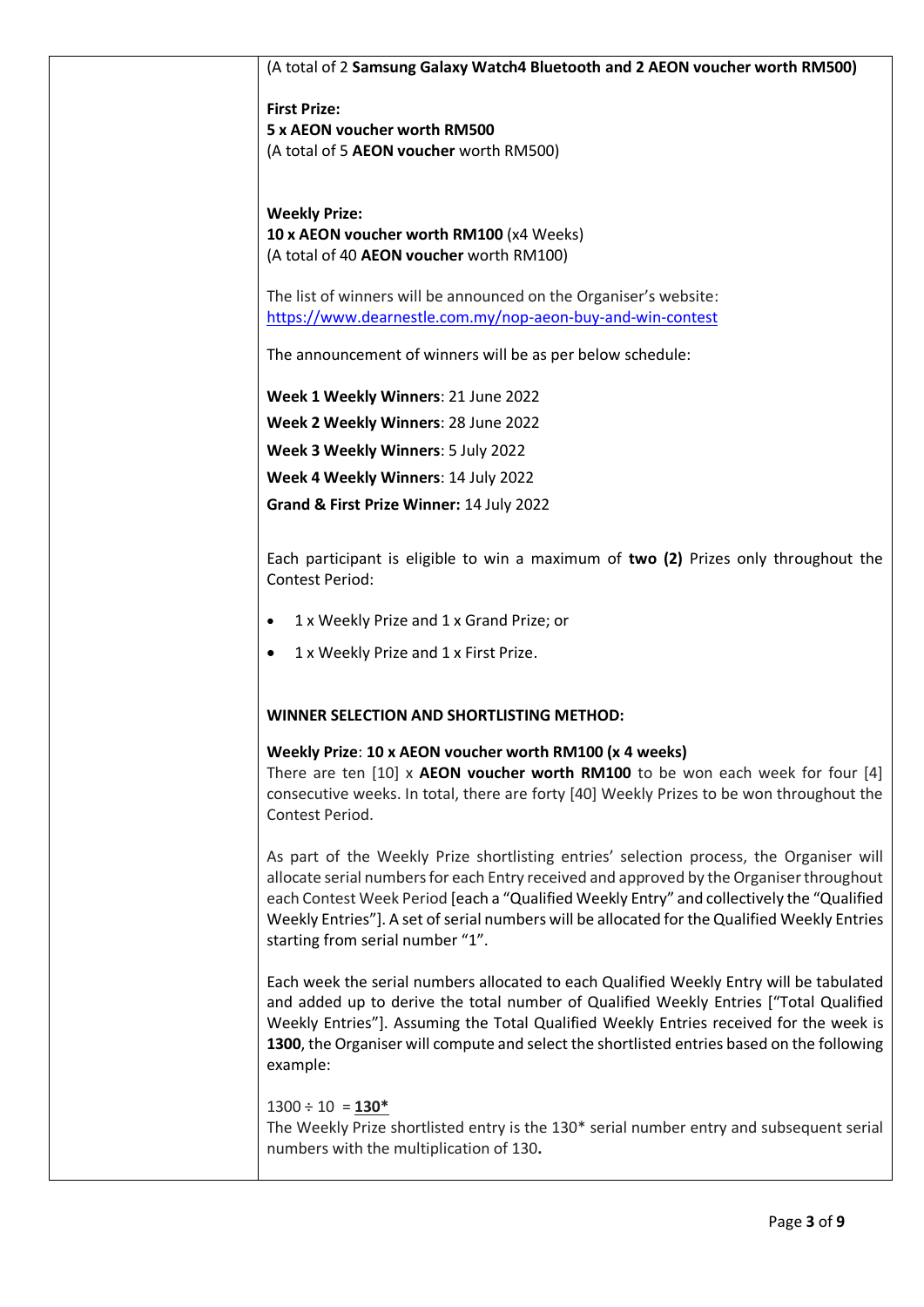| (A total of 2 Samsung Galaxy Watch4 Bluetooth and 2 AEON voucher worth RM500)                                                                                                             |
|-------------------------------------------------------------------------------------------------------------------------------------------------------------------------------------------|
| <b>First Prize:</b>                                                                                                                                                                       |
| 5 x AEON voucher worth RM500                                                                                                                                                              |
| (A total of 5 AEON voucher worth RM500)                                                                                                                                                   |
|                                                                                                                                                                                           |
| <b>Weekly Prize:</b>                                                                                                                                                                      |
| 10 x AEON voucher worth RM100 (x4 Weeks)                                                                                                                                                  |
| (A total of 40 AEON voucher worth RM100)                                                                                                                                                  |
| The list of winners will be announced on the Organiser's website:                                                                                                                         |
| https://www.dearnestle.com.my/nop-aeon-buy-and-win-contest                                                                                                                                |
| The announcement of winners will be as per below schedule:                                                                                                                                |
| Week 1 Weekly Winners: 21 June 2022                                                                                                                                                       |
| Week 2 Weekly Winners: 28 June 2022                                                                                                                                                       |
| Week 3 Weekly Winners: 5 July 2022                                                                                                                                                        |
| Week 4 Weekly Winners: 14 July 2022                                                                                                                                                       |
| Grand & First Prize Winner: 14 July 2022                                                                                                                                                  |
|                                                                                                                                                                                           |
| Each participant is eligible to win a maximum of two (2) Prizes only throughout the                                                                                                       |
| <b>Contest Period:</b>                                                                                                                                                                    |
| 1 x Weekly Prize and 1 x Grand Prize; or<br>٠                                                                                                                                             |
| 1 x Weekly Prize and 1 x First Prize.<br>$\bullet$                                                                                                                                        |
|                                                                                                                                                                                           |
| WINNER SELECTION AND SHORTLISTING METHOD:                                                                                                                                                 |
| Weekly Prize: 10 x AEON voucher worth RM100 (x 4 weeks)                                                                                                                                   |
| There are ten $[10]$ x AEON voucher worth RM100 to be won each week for four $[4]$                                                                                                        |
| consecutive weeks. In total, there are forty [40] Weekly Prizes to be won throughout the<br>Contest Period.                                                                               |
|                                                                                                                                                                                           |
| As part of the Weekly Prize shortlisting entries' selection process, the Organiser will                                                                                                   |
| allocate serial numbers for each Entry received and approved by the Organiser throughout                                                                                                  |
| each Contest Week Period [each a "Qualified Weekly Entry" and collectively the "Qualified<br>Weekly Entries"]. A set of serial numbers will be allocated for the Qualified Weekly Entries |
| starting from serial number "1".                                                                                                                                                          |
|                                                                                                                                                                                           |
| Each week the serial numbers allocated to each Qualified Weekly Entry will be tabulated<br>and added up to derive the total number of Qualified Weekly Entries ["Total Qualified          |
| Weekly Entries"]. Assuming the Total Qualified Weekly Entries received for the week is                                                                                                    |
| 1300, the Organiser will compute and select the shortlisted entries based on the following                                                                                                |
| example:                                                                                                                                                                                  |
| $1300 \div 10 = 130$ *                                                                                                                                                                    |
| The Weekly Prize shortlisted entry is the 130* serial number entry and subsequent serial                                                                                                  |
| numbers with the multiplication of 130.                                                                                                                                                   |
|                                                                                                                                                                                           |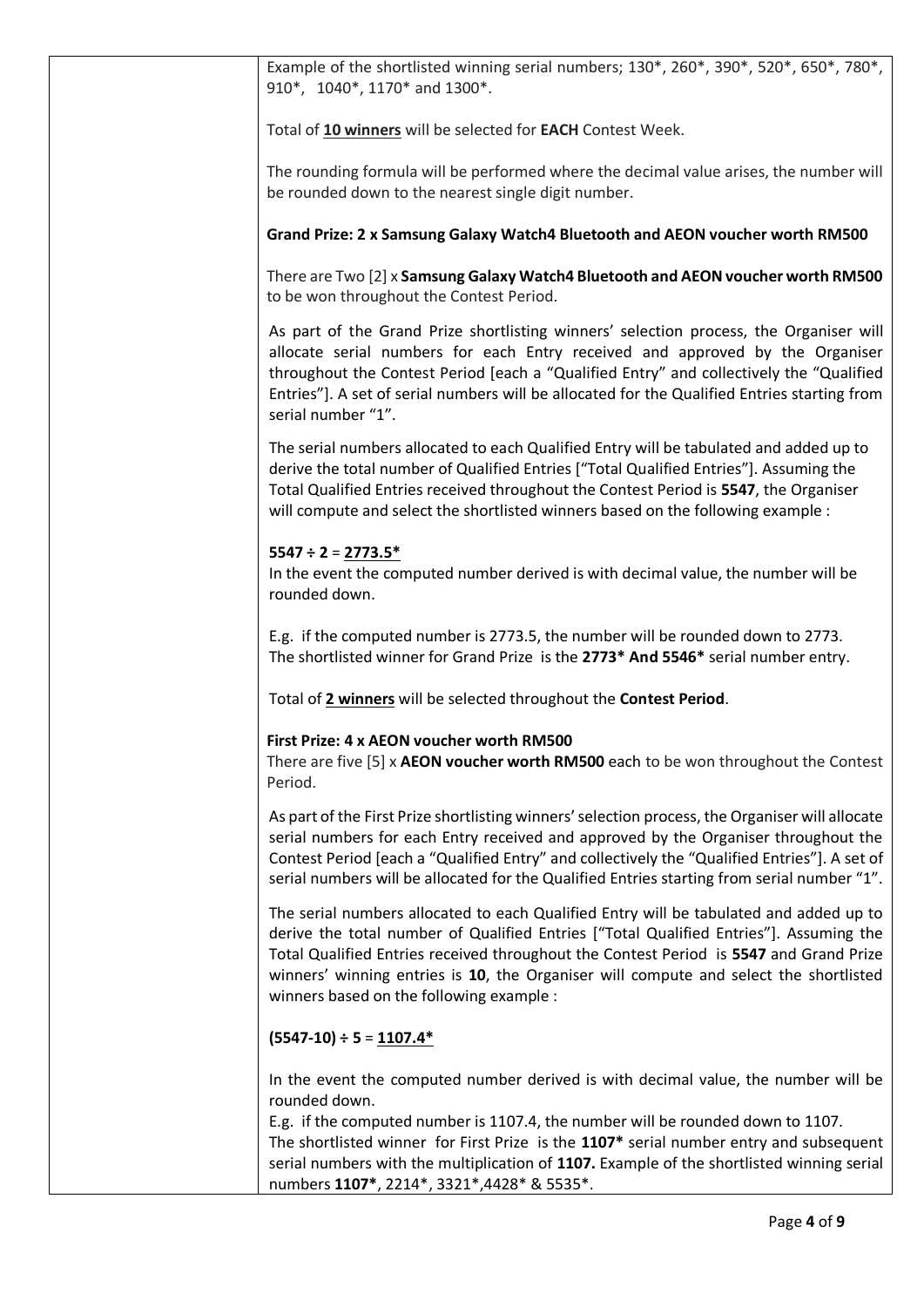| Example of the shortlisted winning serial numbers; 130*, 260*, 390*, 520*, 650*, 780*,<br>910*, 1040*, 1170* and 1300*.                                                                                                                                                                                                                                                                                         |
|-----------------------------------------------------------------------------------------------------------------------------------------------------------------------------------------------------------------------------------------------------------------------------------------------------------------------------------------------------------------------------------------------------------------|
| Total of 10 winners will be selected for EACH Contest Week.                                                                                                                                                                                                                                                                                                                                                     |
| The rounding formula will be performed where the decimal value arises, the number will<br>be rounded down to the nearest single digit number.                                                                                                                                                                                                                                                                   |
| Grand Prize: 2 x Samsung Galaxy Watch4 Bluetooth and AEON voucher worth RM500                                                                                                                                                                                                                                                                                                                                   |
| There are Two [2] x Samsung Galaxy Watch4 Bluetooth and AEON voucher worth RM500<br>to be won throughout the Contest Period.                                                                                                                                                                                                                                                                                    |
| As part of the Grand Prize shortlisting winners' selection process, the Organiser will<br>allocate serial numbers for each Entry received and approved by the Organiser<br>throughout the Contest Period [each a "Qualified Entry" and collectively the "Qualified<br>Entries"]. A set of serial numbers will be allocated for the Qualified Entries starting from<br>serial number "1".                        |
| The serial numbers allocated to each Qualified Entry will be tabulated and added up to<br>derive the total number of Qualified Entries ["Total Qualified Entries"]. Assuming the<br>Total Qualified Entries received throughout the Contest Period is 5547, the Organiser<br>will compute and select the shortlisted winners based on the following example :                                                   |
| $5547 \div 2 = 2773.5*$<br>In the event the computed number derived is with decimal value, the number will be<br>rounded down.                                                                                                                                                                                                                                                                                  |
| E.g. if the computed number is 2773.5, the number will be rounded down to 2773.<br>The shortlisted winner for Grand Prize is the 2773* And 5546* serial number entry.                                                                                                                                                                                                                                           |
| Total of 2 winners will be selected throughout the Contest Period.                                                                                                                                                                                                                                                                                                                                              |
| First Prize: 4 x AEON voucher worth RM500<br>There are five [5] x AEON voucher worth RM500 each to be won throughout the Contest<br>Period.                                                                                                                                                                                                                                                                     |
| As part of the First Prize shortlisting winners' selection process, the Organiser will allocate<br>serial numbers for each Entry received and approved by the Organiser throughout the<br>Contest Period [each a "Qualified Entry" and collectively the "Qualified Entries"]. A set of<br>serial numbers will be allocated for the Qualified Entries starting from serial number "1".                           |
| The serial numbers allocated to each Qualified Entry will be tabulated and added up to<br>derive the total number of Qualified Entries ["Total Qualified Entries"]. Assuming the<br>Total Qualified Entries received throughout the Contest Period is 5547 and Grand Prize<br>winners' winning entries is 10, the Organiser will compute and select the shortlisted<br>winners based on the following example : |
| $(5547-10) \div 5 = 1107.4*$                                                                                                                                                                                                                                                                                                                                                                                    |
| In the event the computed number derived is with decimal value, the number will be<br>rounded down.                                                                                                                                                                                                                                                                                                             |
| E.g. if the computed number is 1107.4, the number will be rounded down to 1107.<br>The shortlisted winner for First Prize is the 1107* serial number entry and subsequent<br>serial numbers with the multiplication of 1107. Example of the shortlisted winning serial<br>numbers 1107*, 2214*, 3321*, 4428* & 5535*.                                                                                           |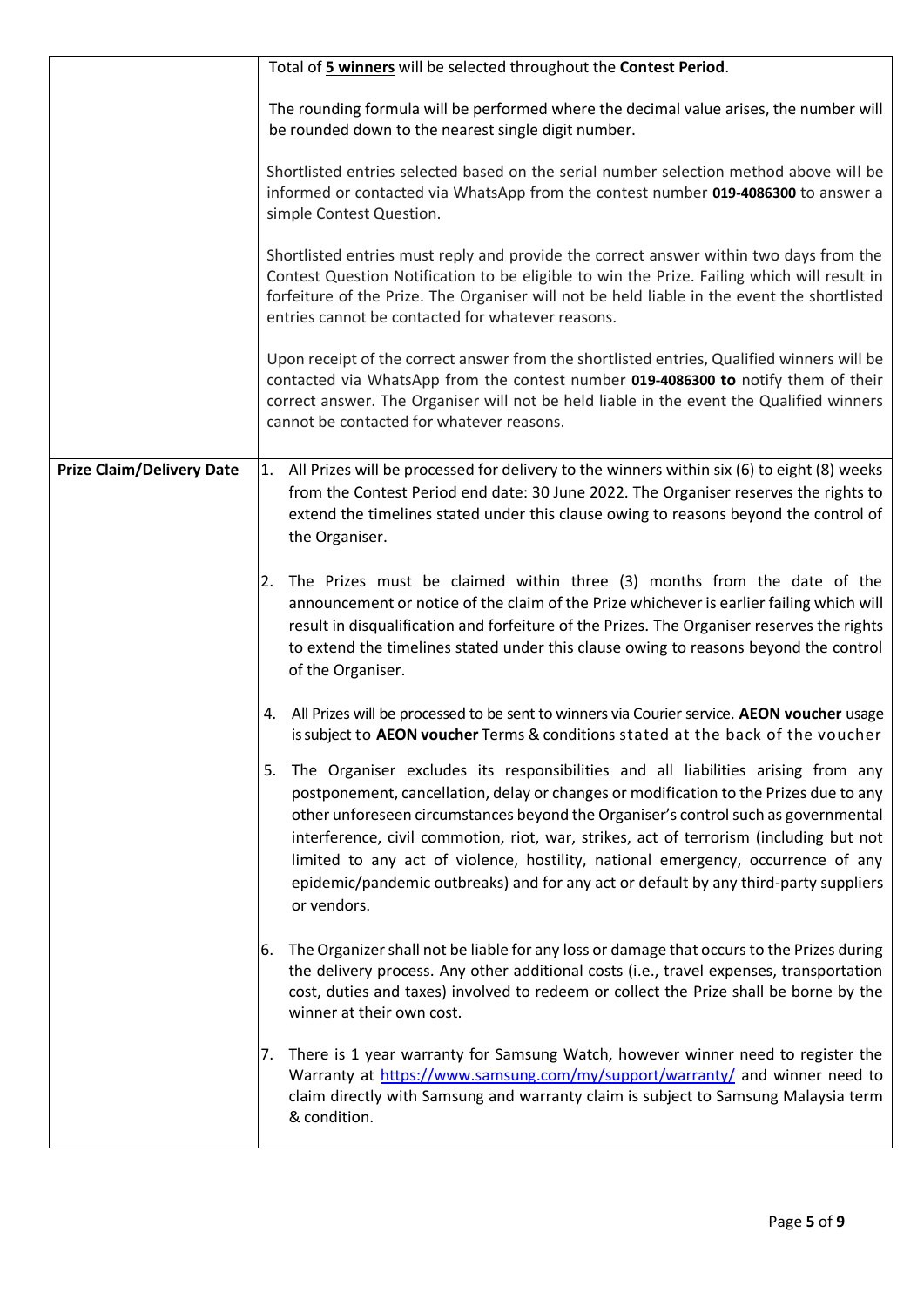|                                  | Total of 5 winners will be selected throughout the Contest Period.                                                                                                                                                                                                                                                                                                                                                                                                                                                                                         |
|----------------------------------|------------------------------------------------------------------------------------------------------------------------------------------------------------------------------------------------------------------------------------------------------------------------------------------------------------------------------------------------------------------------------------------------------------------------------------------------------------------------------------------------------------------------------------------------------------|
|                                  | The rounding formula will be performed where the decimal value arises, the number will<br>be rounded down to the nearest single digit number.                                                                                                                                                                                                                                                                                                                                                                                                              |
|                                  | Shortlisted entries selected based on the serial number selection method above will be<br>informed or contacted via WhatsApp from the contest number 019-4086300 to answer a<br>simple Contest Question.                                                                                                                                                                                                                                                                                                                                                   |
|                                  | Shortlisted entries must reply and provide the correct answer within two days from the<br>Contest Question Notification to be eligible to win the Prize. Failing which will result in<br>forfeiture of the Prize. The Organiser will not be held liable in the event the shortlisted<br>entries cannot be contacted for whatever reasons.                                                                                                                                                                                                                  |
|                                  | Upon receipt of the correct answer from the shortlisted entries, Qualified winners will be<br>contacted via WhatsApp from the contest number 019-4086300 to notify them of their<br>correct answer. The Organiser will not be held liable in the event the Qualified winners<br>cannot be contacted for whatever reasons.                                                                                                                                                                                                                                  |
| <b>Prize Claim/Delivery Date</b> | All Prizes will be processed for delivery to the winners within six (6) to eight (8) weeks<br>1.<br>from the Contest Period end date: 30 June 2022. The Organiser reserves the rights to<br>extend the timelines stated under this clause owing to reasons beyond the control of<br>the Organiser.                                                                                                                                                                                                                                                         |
|                                  | The Prizes must be claimed within three (3) months from the date of the<br>2.<br>announcement or notice of the claim of the Prize whichever is earlier failing which will<br>result in disqualification and forfeiture of the Prizes. The Organiser reserves the rights<br>to extend the timelines stated under this clause owing to reasons beyond the control<br>of the Organiser.                                                                                                                                                                       |
|                                  | All Prizes will be processed to be sent to winners via Courier service. AEON voucher usage<br>4.<br>is subject to AEON voucher Terms & conditions stated at the back of the voucher                                                                                                                                                                                                                                                                                                                                                                        |
|                                  | The Organiser excludes its responsibilities and all liabilities arising from any<br>5.<br>postponement, cancellation, delay or changes or modification to the Prizes due to any<br>other unforeseen circumstances beyond the Organiser's control such as governmental<br>interference, civil commotion, riot, war, strikes, act of terrorism (including but not<br>limited to any act of violence, hostility, national emergency, occurrence of any<br>epidemic/pandemic outbreaks) and for any act or default by any third-party suppliers<br>or vendors. |
|                                  | 6. The Organizer shall not be liable for any loss or damage that occurs to the Prizes during<br>the delivery process. Any other additional costs (i.e., travel expenses, transportation<br>cost, duties and taxes) involved to redeem or collect the Prize shall be borne by the<br>winner at their own cost.                                                                                                                                                                                                                                              |
|                                  | 7. There is 1 year warranty for Samsung Watch, however winner need to register the<br>Warranty at https://www.samsung.com/my/support/warranty/ and winner need to<br>claim directly with Samsung and warranty claim is subject to Samsung Malaysia term<br>& condition.                                                                                                                                                                                                                                                                                    |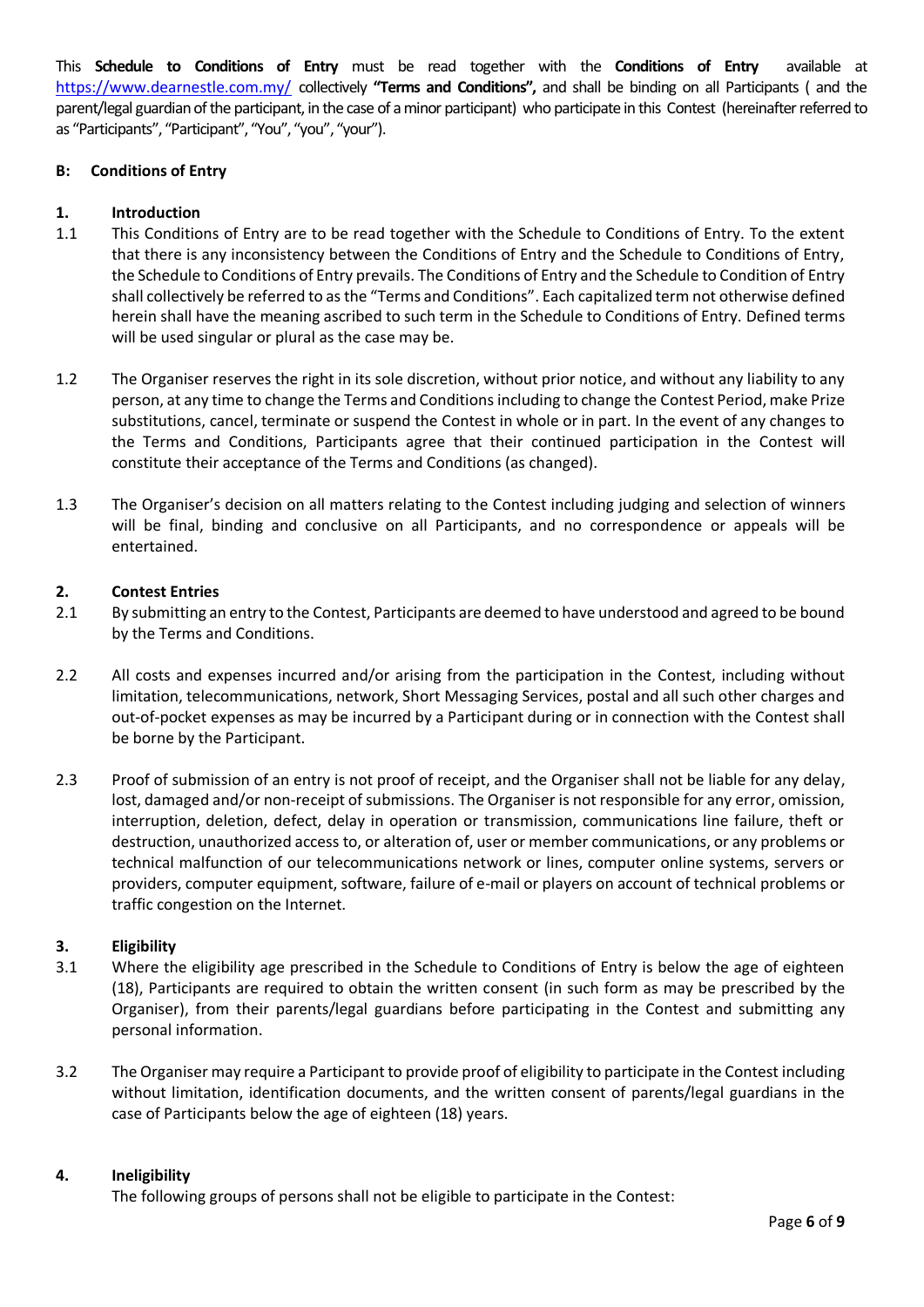This **Schedule to Conditions of Entry** must be read together with the **Conditions of Entry** available at [https://www.dearnestle.com.my/](https://www.dearnestle.com.my/peraduan-nestlé-riang-ria-kuih-raya) collectively **"Terms and Conditions",** and shall be binding on all Participants ( and the parent/legal guardian of the participant, in the case of a minor participant) who participate in this Contest (hereinafter referred to as "Participants", "Participant", "You", "you", "your").

# **B: Conditions of Entry**

# **1. Introduction**

- 1.1 This Conditions of Entry are to be read together with the Schedule to Conditions of Entry. To the extent that there is any inconsistency between the Conditions of Entry and the Schedule to Conditions of Entry, the Schedule to Conditions of Entry prevails. The Conditions of Entry and the Schedule to Condition of Entry shall collectively be referred to as the "Terms and Conditions". Each capitalized term not otherwise defined herein shall have the meaning ascribed to such term in the Schedule to Conditions of Entry. Defined terms will be used singular or plural as the case may be.
- 1.2 The Organiser reserves the right in its sole discretion, without prior notice, and without any liability to any person, at any time to change the Terms and Conditionsincluding to change the Contest Period, make Prize substitutions, cancel, terminate or suspend the Contest in whole or in part. In the event of any changes to the Terms and Conditions, Participants agree that their continued participation in the Contest will constitute their acceptance of the Terms and Conditions (as changed).
- 1.3 The Organiser's decision on all matters relating to the Contest including judging and selection of winners will be final, binding and conclusive on all Participants, and no correspondence or appeals will be entertained.

#### **2. Contest Entries**

- 2.1 By submitting an entry to the Contest, Participants are deemed to have understood and agreed to be bound by the Terms and Conditions.
- 2.2 All costs and expenses incurred and/or arising from the participation in the Contest, including without limitation, telecommunications, network, Short Messaging Services, postal and all such other charges and out-of-pocket expenses as may be incurred by a Participant during or in connection with the Contest shall be borne by the Participant.
- 2.3 Proof of submission of an entry is not proof of receipt, and the Organiser shall not be liable for any delay, lost, damaged and/or non-receipt of submissions. The Organiser is not responsible for any error, omission, interruption, deletion, defect, delay in operation or transmission, communications line failure, theft or destruction, unauthorized access to, or alteration of, user or member communications, or any problems or technical malfunction of our telecommunications network or lines, computer online systems, servers or providers, computer equipment, software, failure of e-mail or players on account of technical problems or traffic congestion on the Internet.

#### **3. Eligibility**

- 3.1 Where the eligibility age prescribed in the Schedule to Conditions of Entry is below the age of eighteen (18), Participants are required to obtain the written consent (in such form as may be prescribed by the Organiser), from their parents/legal guardians before participating in the Contest and submitting any personal information.
- 3.2 The Organiser may require a Participant to provide proof of eligibility to participate in the Contest including without limitation, identification documents, and the written consent of parents/legal guardians in the case of Participants below the age of eighteen (18) years.

#### **4. Ineligibility**

The following groups of persons shall not be eligible to participate in the Contest: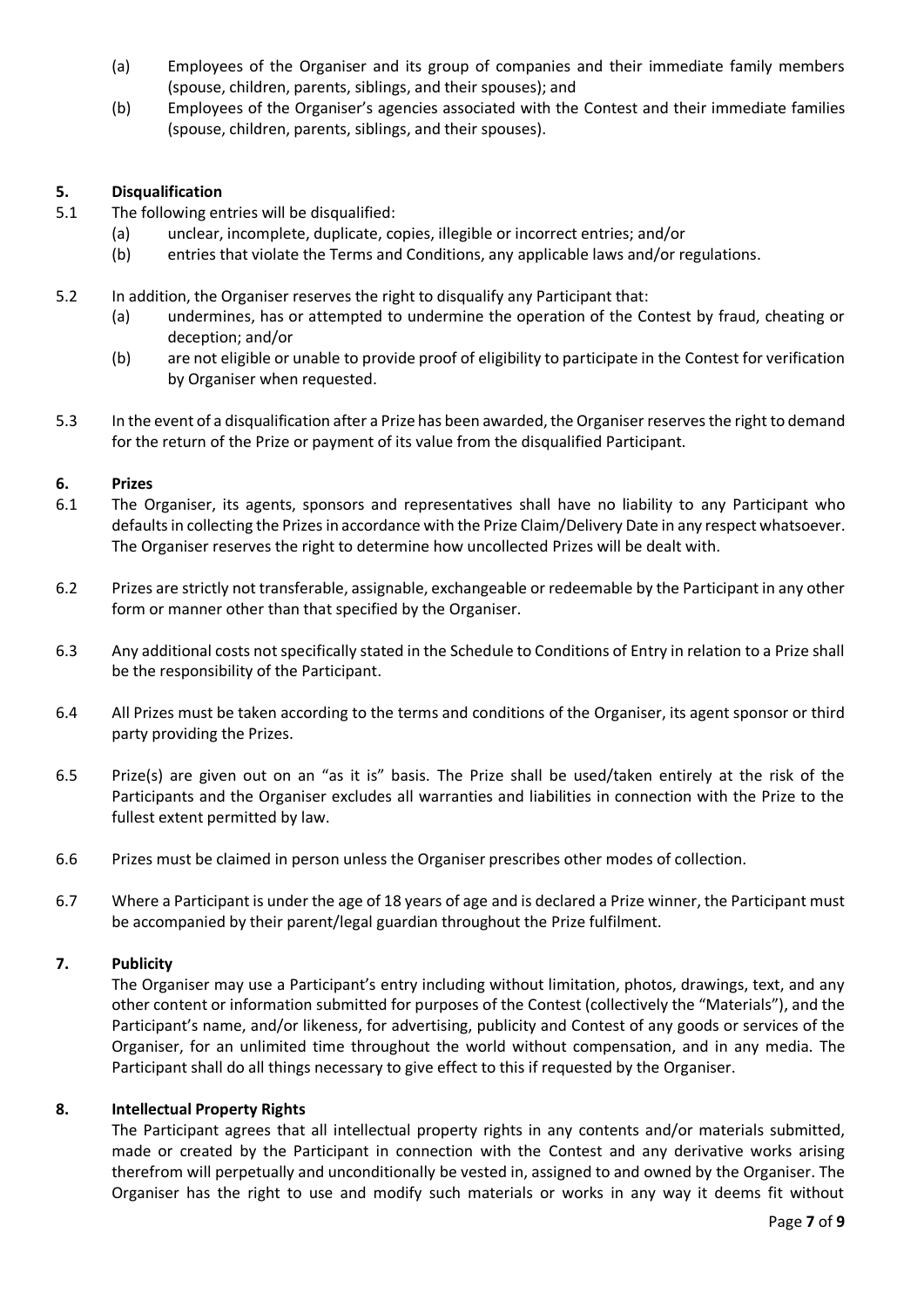- (a) Employees of the Organiser and its group of companies and their immediate family members (spouse, children, parents, siblings, and their spouses); and
- (b) Employees of the Organiser's agencies associated with the Contest and their immediate families (spouse, children, parents, siblings, and their spouses).

#### **5. Disqualification**

- 5.1 The following entries will be disqualified:
	- (a) unclear, incomplete, duplicate, copies, illegible or incorrect entries; and/or
	- (b) entries that violate the Terms and Conditions, any applicable laws and/or regulations.
- 5.2 In addition, the Organiser reserves the right to disqualify any Participant that:
	- (a) undermines, has or attempted to undermine the operation of the Contest by fraud, cheating or deception; and/or
	- (b) are not eligible or unable to provide proof of eligibility to participate in the Contest for verification by Organiser when requested.
- 5.3 In the event of a disqualification after a Prize has been awarded, the Organiser reserves the right to demand for the return of the Prize or payment of its value from the disqualified Participant.

#### **6. Prizes**

- 6.1 The Organiser, its agents, sponsors and representatives shall have no liability to any Participant who defaults in collecting the Prizes in accordance with the Prize Claim/Delivery Date in any respect whatsoever. The Organiser reserves the right to determine how uncollected Prizes will be dealt with.
- 6.2 Prizes are strictly not transferable, assignable, exchangeable or redeemable by the Participant in any other form or manner other than that specified by the Organiser.
- 6.3 Any additional costs not specifically stated in the Schedule to Conditions of Entry in relation to a Prize shall be the responsibility of the Participant.
- 6.4 All Prizes must be taken according to the terms and conditions of the Organiser, its agent sponsor or third party providing the Prizes.
- 6.5 Prize(s) are given out on an "as it is" basis. The Prize shall be used/taken entirely at the risk of the Participants and the Organiser excludes all warranties and liabilities in connection with the Prize to the fullest extent permitted by law.
- 6.6 Prizes must be claimed in person unless the Organiser prescribes other modes of collection.
- 6.7 Where a Participant is under the age of 18 years of age and is declared a Prize winner, the Participant must be accompanied by their parent/legal guardian throughout the Prize fulfilment.

#### **7. Publicity**

The Organiser may use a Participant's entry including without limitation, photos, drawings, text, and any other content or information submitted for purposes of the Contest (collectively the "Materials"), and the Participant's name, and/or likeness, for advertising, publicity and Contest of any goods or services of the Organiser, for an unlimited time throughout the world without compensation, and in any media. The Participant shall do all things necessary to give effect to this if requested by the Organiser.

#### **8. Intellectual Property Rights**

The Participant agrees that all intellectual property rights in any contents and/or materials submitted, made or created by the Participant in connection with the Contest and any derivative works arising therefrom will perpetually and unconditionally be vested in, assigned to and owned by the Organiser. The Organiser has the right to use and modify such materials or works in any way it deems fit without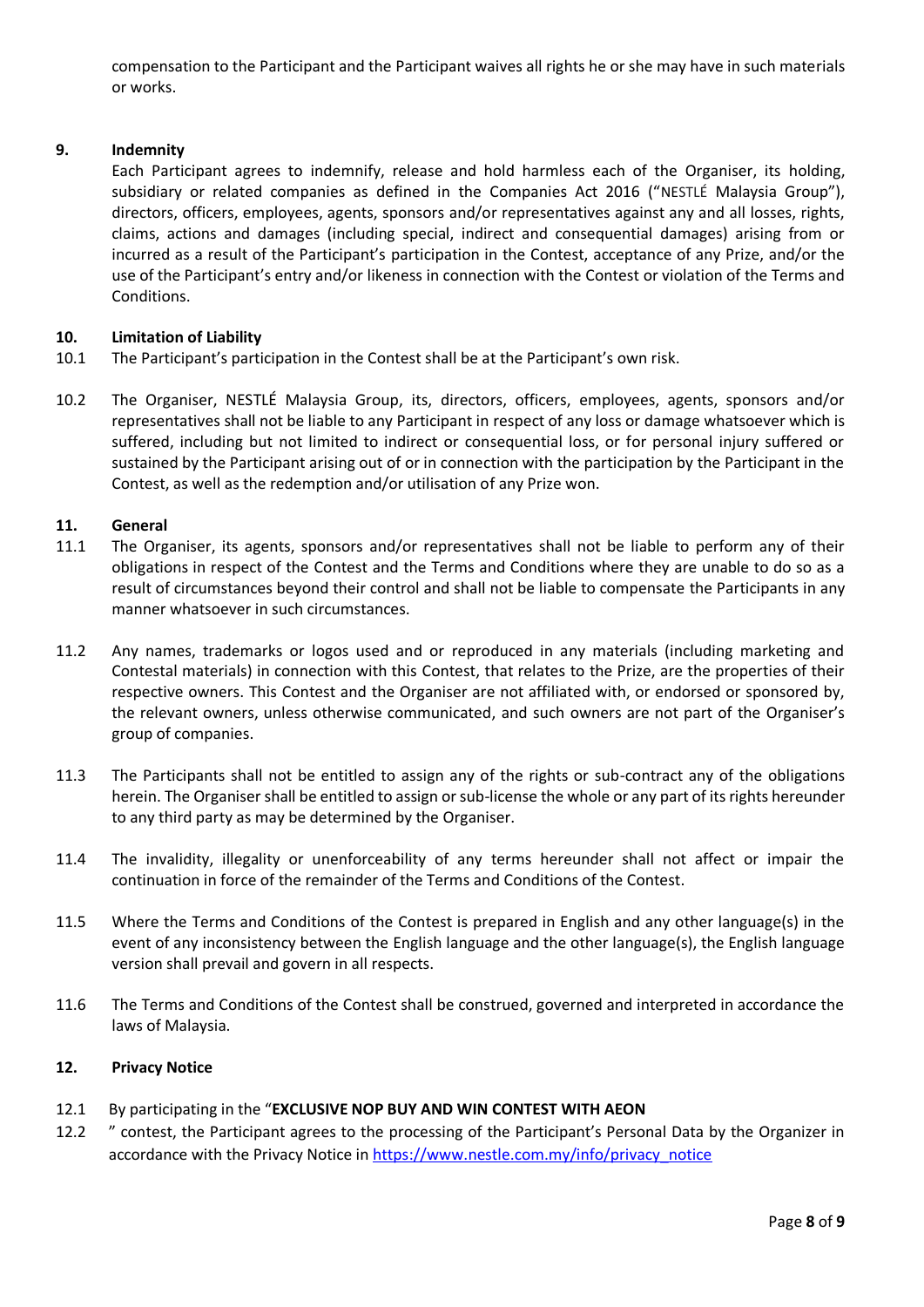compensation to the Participant and the Participant waives all rights he or she may have in such materials or works.

#### **9. Indemnity**

Each Participant agrees to indemnify, release and hold harmless each of the Organiser, its holding, subsidiary or related companies as defined in the Companies Act 2016 ("NESTLÉ Malaysia Group"), directors, officers, employees, agents, sponsors and/or representatives against any and all losses, rights, claims, actions and damages (including special, indirect and consequential damages) arising from or incurred as a result of the Participant's participation in the Contest, acceptance of any Prize, and/or the use of the Participant's entry and/or likeness in connection with the Contest or violation of the Terms and Conditions.

# **10. Limitation of Liability**

- 10.1 The Participant's participation in the Contest shall be at the Participant's own risk.
- 10.2 The Organiser, NESTLÉ Malaysia Group, its, directors, officers, employees, agents, sponsors and/or representatives shall not be liable to any Participant in respect of any loss or damage whatsoever which is suffered, including but not limited to indirect or consequential loss, or for personal injury suffered or sustained by the Participant arising out of or in connection with the participation by the Participant in the Contest, as well as the redemption and/or utilisation of any Prize won.

#### **11. General**

- 11.1 The Organiser, its agents, sponsors and/or representatives shall not be liable to perform any of their obligations in respect of the Contest and the Terms and Conditions where they are unable to do so as a result of circumstances beyond their control and shall not be liable to compensate the Participants in any manner whatsoever in such circumstances.
- 11.2 Any names, trademarks or logos used and or reproduced in any materials (including marketing and Contestal materials) in connection with this Contest, that relates to the Prize, are the properties of their respective owners. This Contest and the Organiser are not affiliated with, or endorsed or sponsored by, the relevant owners, unless otherwise communicated, and such owners are not part of the Organiser's group of companies.
- 11.3 The Participants shall not be entitled to assign any of the rights or sub-contract any of the obligations herein. The Organiser shall be entitled to assign or sub-license the whole or any part of its rights hereunder to any third party as may be determined by the Organiser.
- 11.4 The invalidity, illegality or unenforceability of any terms hereunder shall not affect or impair the continuation in force of the remainder of the Terms and Conditions of the Contest.
- 11.5 Where the Terms and Conditions of the Contest is prepared in English and any other language(s) in the event of any inconsistency between the English language and the other language(s), the English language version shall prevail and govern in all respects.
- 11.6 The Terms and Conditions of the Contest shall be construed, governed and interpreted in accordance the laws of Malaysia.

#### **12. Privacy Notice**

- 12.1 By participating in the "**EXCLUSIVE NOP BUY AND WIN CONTEST WITH AEON**
- 12.2 " contest, the Participant agrees to the processing of the Participant's Personal Data by the Organizer in accordance with the Privacy Notice in https://www.nestle.com.my/info/privacy\_notice